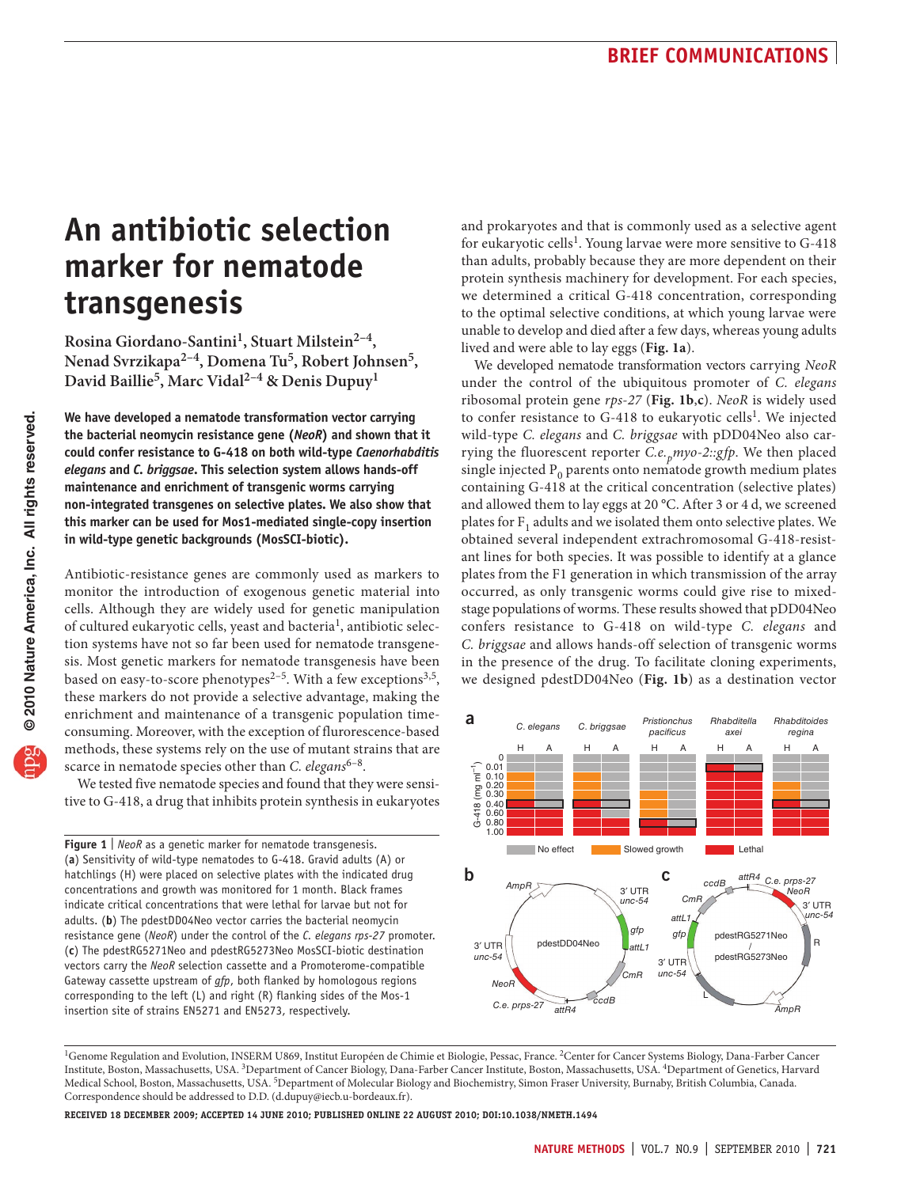# **An antibiotic selection marker for nematode transgenesis**

**Rosina Giordano-Santini1, Stuart Milstein2–4, Nenad Svrzikapa2–4, Domena Tu5, Robert Johnsen5, David Baillie5, Marc Vidal2–4 & Denis Dupuy1**

**We have developed a nematode transformation vector carrying the bacterial neomycin resistance gene (***NeoR***) and shown that it could confer resistance to G-418 on both wild-type** *Caenorhabditis elegans* **and** *C. briggsae***. This selection system allows hands-off maintenance and enrichment of transgenic worms carrying non-integrated transgenes on selective plates. We also show that this marker can be used for Mos1-mediated single-copy insertion in wild-type genetic backgrounds (MosSCI-biotic).**

Antibiotic-resistance genes are commonly used as markers to monitor the introduction of exogenous genetic material into cells. Although they are widely used for genetic manipulation of cultured eukaryotic cells, yeast and bacteria<sup>[1](#page-2-0)</sup>, antibiotic selection systems have not so far been used for nematode transgenesis. Most genetic markers for nematode transgenesis have been based on easy-to-score phenotypes<sup>2-5</sup>. With a few exceptions<sup>3,5</sup>, these markers do not provide a selective advantage, making the enrichment and maintenance of a transgenic population timeconsuming. Moreover, with the exception of flurorescence-based methods, these systems rely on the use of mutant strains that are scarce in nematode species other than *C. elegans*<sup>6-8</sup>.

We tested five nematode species and found that they were sensitive to G-418, a drug that inhibits protein synthesis in eukaryotes

<span id="page-0-0"></span>**Figure 1** | *NeoR* as a genetic marker for nematode transgenesis. (**a**) Sensitivity of wild-type nematodes to G-418. Gravid adults (A) or hatchlings (H) were placed on selective plates with the indicated drug concentrations and growth was monitored for 1 month. Black frames indicate critical concentrations that were lethal for larvae but not for adults. (**b**) The pdestDD04Neo vector carries the bacterial neomycin resistance gene (*NeoR*) under the control of the *C. elegans rps-27* promoter. (**c**) The pdestRG5271Neo and pdestRG5273Neo MosSCI-biotic destination vectors carry the *NeoR* selection cassette and a Promoterome-compatible Gateway cassette upstream of *gfp*, both flanked by homologous regions corresponding to the left (L) and right (R) flanking sides of the Mos-1 insertion site of strains EN5271 and EN5273, respectively.

and prokaryotes and that is commonly used as a selective agent for eukaryotic cells<sup>[1](#page-2-0)</sup>. Young larvae were more sensitive to G-418 than adults, probably because they are more dependent on their protein synthesis machinery for development. For each species, we determined a critical G-418 concentration, corresponding to the optimal selective conditions, at which young larvae were unable to develop and died after a few days, whereas young adults lived and were able to lay eggs (**[Fig. 1a](#page-0-0)**).

We developed nematode transformation vectors carrying *NeoR* under the control of the ubiquitous promoter of *C. elegans* ribosomal protein gene *rps-27* (**[Fig. 1b](#page-0-0)**,**c**). *NeoR* is widely used to confer resistance to G-4[1](#page-2-0)8 to eukaryotic cells<sup>1</sup>. We injected wild-type *C. elegans* and *C. briggsae* with pDD04Neo also carrying the fluorescent reporter *C.e.*<sub>p</sub>myo-2::gfp. We then placed single injected  $P_0$  parents onto nematode growth medium plates containing G-418 at the critical concentration (selective plates) and allowed them to lay eggs at 20 °C. After 3 or 4 d, we screened plates for  $F_1$  adults and we isolated them onto selective plates. We obtained several independent extrachromosomal G-418-resistant lines for both species. It was possible to identify at a glance plates from the F1 generation in which transmission of the array occurred, as only transgenic worms could give rise to mixedstage populations of worms. These results showed that pDD04Neo confers resistance to G-418 on wild-type *C. elegans* and *C. briggsae* and allows hands-off selection of transgenic worms in the presence of the drug. To facilitate cloning experiments, we designed pdestDD04Neo (**[Fig. 1](#page-0-0)b**) as a destination vector



<sup>1</sup>Genome Regulation and Evolution, INSERM U869, Institut Européen de Chimie et Biologie, Pessac, France. <sup>2</sup>Center for Cancer Systems Biology, Dana-Farber Cancer Institute, Boston, Massachusetts, USA. 3Department of Cancer Biology, Dana-Farber Cancer Institute, Boston, Massachusetts, USA. 4Department of Genetics, Harvard Medical School, Boston, Massachusetts, USA. 5Department of Molecular Biology and Biochemistry, Simon Fraser University, Burnaby, British Columbia, Canada. Correspondence should be addressed to D.D. (d.dupuy@iecb.u-bordeaux.fr).

**Received 18 December 2009; accepted 14 June 2010; published online 22 august 2010; [doi:10.1038/nmeth.1494](http://www.nature.com/doifinder/10.1038/nmeth.1494)**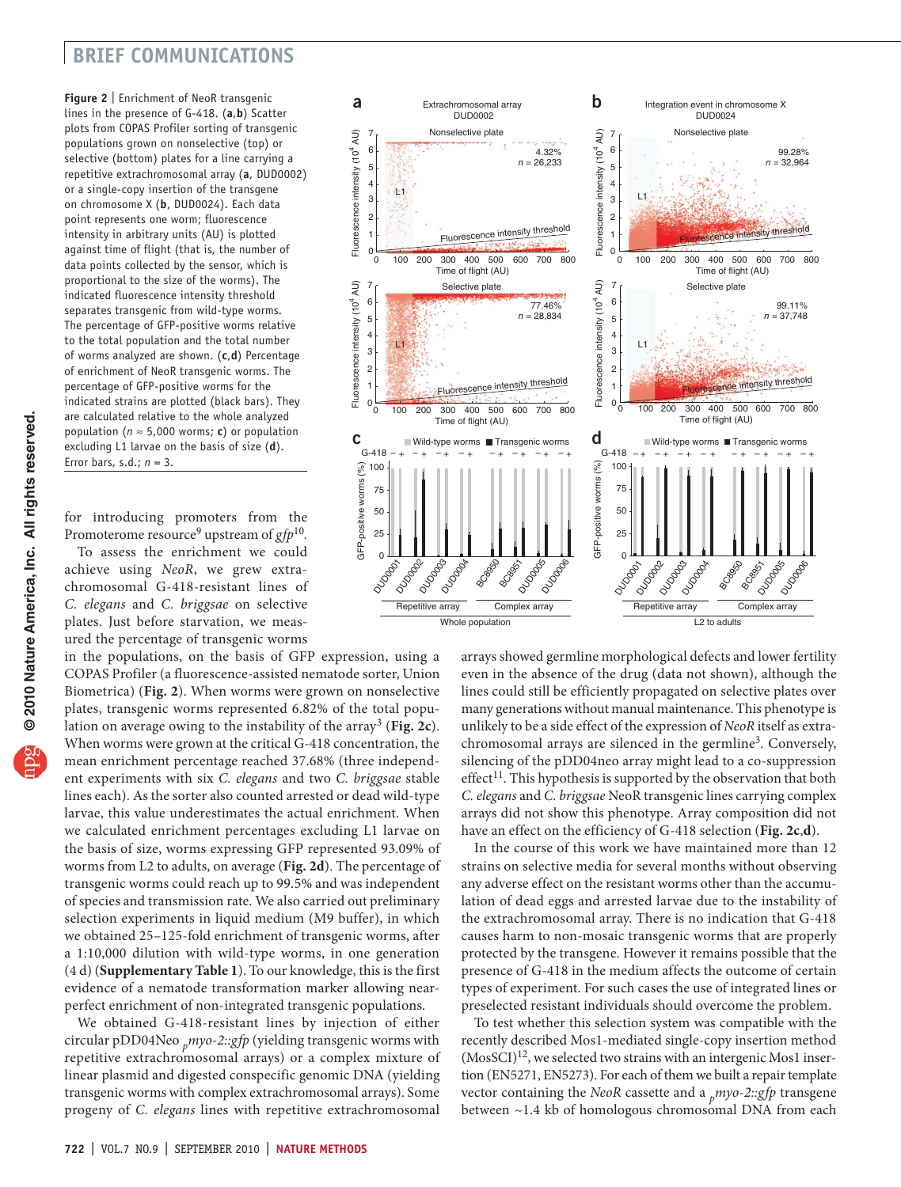## **brief communications**

<span id="page-1-0"></span>**Figure 2** | Enrichment of NeoR transgenic lines in the presence of G-418. (**a**,**b**) Scatter plots from COPAS Profiler sorting of transgenic populations grown on nonselective (top) or selective (bottom) plates for a line carrying a repetitive extrachromosomal array (**a**, DUD0002) or a single-copy insertion of the transgene on chromosome X (**b**, DUD0024). Each data point represents one worm; fluorescence intensity in arbitrary units (AU) is plotted against time of flight (that is, the number of data points collected by the sensor, which is proportional to the size of the worms). The indicated fluorescence intensity threshold separates transgenic from wild-type worms. The percentage of GFP-positive worms relative to the total population and the total number of worms analyzed are shown. (**c**,**d**) Percentage of enrichment of NeoR transgenic worms. The percentage of GFP-positive worms for the indicated strains are plotted (black bars). They are calculated relative to the whole analyzed population ( $n \approx 5,000$  worms; **c**) or population excluding L1 larvae on the basis of size (**d**). Error bars, s.d.; *n* = 3.

for introducing promoters from the Promoterome resource<sup>9</sup> upstream of *gfp*<sup>[10](#page-2-2)</sup>.

To assess the enrichment we could achieve using *NeoR*, we grew extrachromosomal G-418-resistant lines of *C. elegans* and *C. briggsae* on selective plates. Just before starvation, we measured the percentage of transgenic worms

in the populations, on the basis of GFP expression, using a COPAS Profiler (a fluorescence-assisted nematode sorter, Union Biometrica) (**[Fig. 2](#page-1-0)**). When worms were grown on nonselective plates, transgenic worms represented 6.82% of the total popu-lation on average owing to the instability of the array<sup>3</sup> ([Fig. 2c](#page-1-0)). When worms were grown at the critical G-418 concentration, the mean enrichment percentage reached 37.68% (three independent experiments with six *C. elegans* and two *C. briggsae* stable lines each). As the sorter also counted arrested or dead wild-type larvae, this value underestimates the actual enrichment. When we calculated enrichment percentages excluding L1 larvae on the basis of size, worms expressing GFP represented 93.09% of worms from L2 to adults, on average (**[Fig. 2d](#page-1-0)**). The percentage of transgenic worms could reach up to 99.5% and was independent of species and transmission rate. We also carried out preliminary selection experiments in liquid medium (M9 buffer), in which we obtained 25–125-fold enrichment of transgenic worms, after a 1:10,000 dilution with wild-type worms, in one generation (4 d) (**Supplementary Table 1**). To our knowledge, this is the first evidence of a nematode transformation marker allowing nearperfect enrichment of non-integrated transgenic populations.

We obtained G-418-resistant lines by injection of either circular pDD04Neo *pmyo-2::gfp* (yielding transgenic worms with repetitive extrachromosomal arrays) or a complex mixture of linear plasmid and digested conspecific genomic DNA (yielding transgenic worms with complex extrachromosomal arrays). Some progeny of *C. elegans* lines with repetitive extrachromosomal



arrays showed germline morphological defects and lower fertility even in the absence of the drug (data not shown), although the lines could still be efficiently propagated on selective plates over many generations without manual maintenance. This phenotype is unlikely to be a side effect of the expression of *NeoR* itself as extra-chromosomal arrays are silenced in the germline<sup>[3](#page-2-3)</sup>. Conversely, silencing of the pDD04neo array might lead to a co-suppression  $effect<sup>11</sup>$ . This hypothesis is supported by the observation that both *C. elegans* and *C. briggsae* NeoR transgenic lines carrying complex arrays did not show this phenotype. Array composition did not have an effect on the efficiency of G-418 selection (**[Fig. 2c](#page-1-0)**,**d**).

In the course of this work we have maintained more than 12 strains on selective media for several months without observing any adverse effect on the resistant worms other than the accumulation of dead eggs and arrested larvae due to the instability of the extrachromosomal array. There is no indication that G-418 causes harm to non-mosaic transgenic worms that are properly protected by the transgene. However it remains possible that the presence of G-418 in the medium affects the outcome of certain types of experiment. For such cases the use of integrated lines or preselected resistant individuals should overcome the problem.

To test whether this selection system was compatible with the recently described Mos1-mediated single-copy insertion method  $(MosSCI)^{12}$ , we selected two strains with an intergenic Mos1 insertion (EN5271, EN5273). For each of them we built a repair template vector containing the *NeoR* cassette and a *<sub>p</sub>myo-2*::*gfp* transgene between  $\sim$ 1.4 kb of homologous chromosomal DNA from each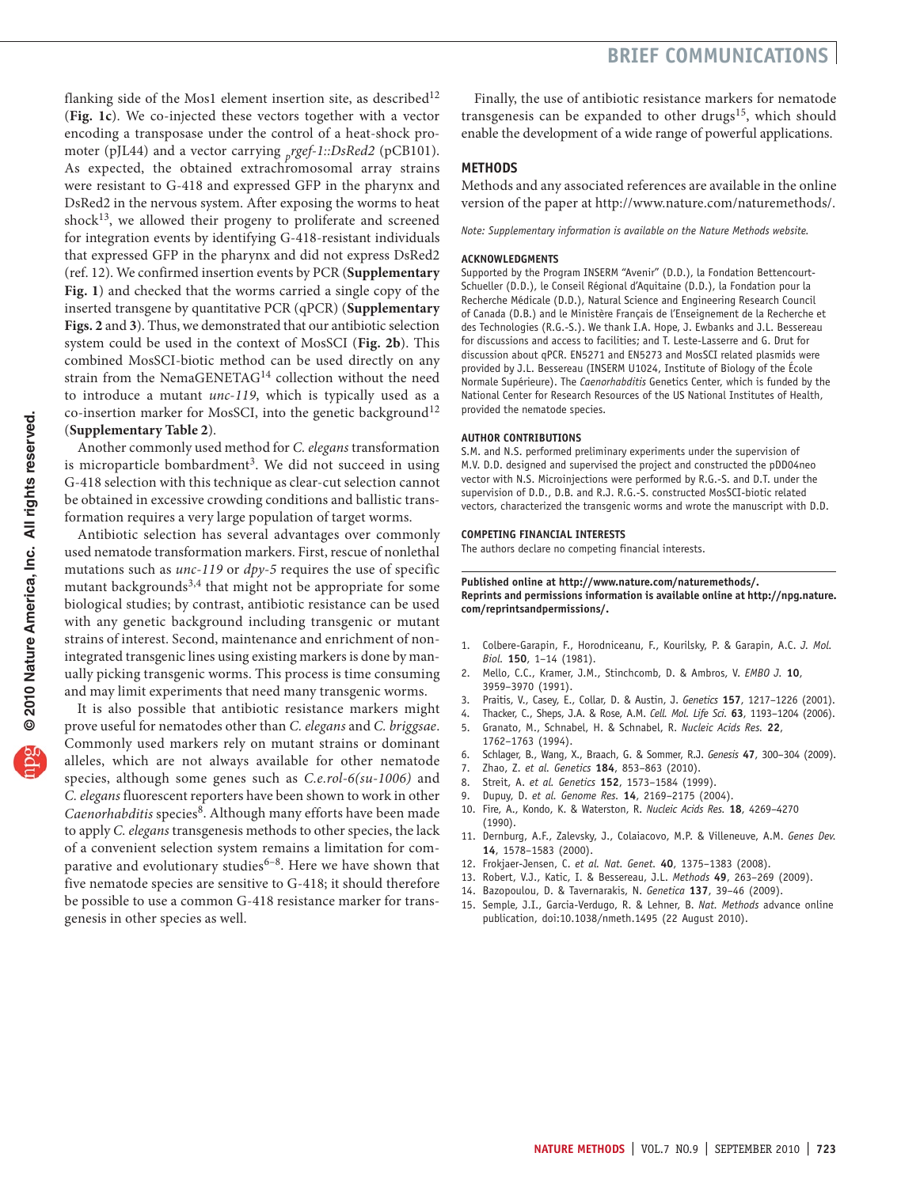flanking side of the Mos1 element insertion site, as described $12$ (**[Fig. 1c](#page-0-0)**). We co-injected these vectors together with a vector encoding a transposase under the control of a heat-shock promoter (pJL44) and a vector carrying *prgef-1::DsRed2* (pCB101). As expected, the obtained extrachromosomal array strains were resistant to G-418 and expressed GFP in the pharynx and DsRed2 in the nervous system. After exposing the worms to heat shock $13$ , we allowed their progeny to proliferate and screened for integration events by identifying G-418-resistant individuals that expressed GFP in the pharynx and did not express DsRed2 (ref. 12). We confirmed insertion events by PCR (**Supplementary Fig. 1**) and checked that the worms carried a single copy of the inserted transgene by quantitative PCR (qPCR) (**Supplementary Figs. 2** and **3**). Thus, we demonstrated that our antibiotic selection system could be used in the context of MosSCI (**[Fig. 2b](#page-1-0)**). This combined MosSCI-biotic method can be used directly on any strain from the NemaGENETAG<sup>14</sup> collection without the need to introduce a mutant *unc-119*, which is typically used as a co-insertion marker for MosSCI, into the genetic background<sup>[1](#page-2-7)2</sup> (**Supplementary Table 2**).

Another commonly used method for *C. elegans* transformation is microparticle bombardment<sup>[3](#page-2-3)</sup>. We did not succeed in using G-418 selection with this technique as clear-cut selection cannot be obtained in excessive crowding conditions and ballistic transformation requires a very large population of target worms.

Antibiotic selection has several advantages over commonly used nematode transformation markers. First, rescue of nonlethal mutations such as *unc-119* or *dpy-5* requires the use of specific mutant backgrounds $3,4$  that might not be appropriate for some biological studies; by contrast, antibiotic resistance can be used with any genetic background including transgenic or mutant strains of interest. Second, maintenance and enrichment of nonintegrated transgenic lines using existing markers is done by manually picking transgenic worms. This process is time consuming and may limit experiments that need many transgenic worms.

It is also possible that antibiotic resistance markers might prove useful for nematodes other than *C. elegans* and *C. briggsae*. Commonly used markers rely on mutant strains or dominant alleles, which are not always available for other nematode species, although some genes such as *C.e.rol-6(su-1006)* and *C. elegans* fluorescent reporters have been shown to work in other Caenorhabditis species<sup>8</sup>. Although many efforts have been made to apply *C. elegans* transgenesis methods to other species, the lack of a convenient selection system remains a limitation for comparative and evolutionary studies<sup>6-8</sup>. Here we have shown that five nematode species are sensitive to G-418; it should therefore be possible to use a common G-418 resistance marker for transgenesis in other species as well.

Finally, the use of antibiotic resistance markers for nematode transgenesis can be expanded to other drugs<sup>15</sup>, which should enable the development of a wide range of powerful applications.

## **Methods**

Methods and any associated references are available in the online version of the paper at http://www.nature.com/naturemethods/.

*Note: Supplementary information is available on the Nature [Methods](http://www.nature.com/naturemethods/) website.*

### **Acknowledgments**

Supported by the Program INSERM "Avenir" (D.D.), la Fondation Bettencourt-Schueller (D.D.), le Conseil Régional d'Aquitaine (D.D.), la Fondation pour la Recherche Médicale (D.D.), Natural Science and Engineering Research Council of Canada (D.B.) and le Ministère Français de l'Enseignement de la Recherche et des Technologies (R.G.-S.). We thank I.A. Hope, J. Ewbanks and J.L. Bessereau for discussions and access to facilities; and T. Leste-Lasserre and G. Drut for discussion about qPCR. EN5271 and EN5273 and MosSCI related plasmids were provided by J.L. Bessereau (INSERM U1024, Institute of Biology of the École Normale Supérieure). The *Caenorhabditis* Genetics Center, which is funded by the National Center for Research Resources of the US National Institutes of Health, provided the nematode species.

#### **AUTHOR CONTRIBUTIONS**

S.M. and N.S. performed preliminary experiments under the supervision of M.V. D.D. designed and supervised the project and constructed the pDD04neo vector with N.S. Microinjections were performed by R.G.-S. and D.T. under the supervision of D.D., D.B. and R.J. R.G.-S. constructed MosSCI-biotic related vectors, characterized the transgenic worms and wrote the manuscript with D.D.

#### **COMPETING FINANCIAL INTERESTS**

The authors declare no competing financial interests.

**Published online at http://www.nature.com/naturemethods/. Reprints and permissions information is available online at http://npg.nature. com/reprintsandpermissions/.**

- <span id="page-2-0"></span>1. Colbere-Garapin, F., Horodniceanu, F., Kourilsky, P. & Garapin, A.C. *J. Mol. Biol.* **150**, 1–14 (1981).
- 2. Mello, C.C., Kramer, J.M., Stinchcomb, D. & Ambros, V. *EMBO J.* **10**, 3959–3970 (1991).
- <span id="page-2-3"></span>3. Praitis, V., Casey, E., Collar, D. & Austin, J. *Genetics* **157**, 1217–1226 (2001).
- 4. Thacker, C., Sheps, J.A. & Rose, A.M. *Cell. Mol. Life Sci.* **63**, 1193–1204 (2006).
- 5. Granato, M., Schnabel, H. & Schnabel, R. *Nucleic Acids Res.* **22**,
- 1762–1763 (1994).
- 6. Schlager, B., Wang, X., Braach, G. & Sommer, R.J. *Genesis* **47**, 300–304 (2009).
- 7. Zhao, Z. *et al. Genetics* **184**, 853–863 (2010).
- 8. Streit, A. *et al. Genetics* **152**, 1573–1584 (1999).
- <span id="page-2-1"></span>9. Dupuy, D. *et al. Genome Res.* **14**, 2169–2175 (2004).
- <span id="page-2-2"></span>10. Fire, A., Kondo, K. & Waterston, R. *Nucleic Acids Res.* **18**, 4269–4270 (1990).
- <span id="page-2-4"></span>11. Dernburg, A.F., Zalevsky, J., Colaiacovo, M.P. & Villeneuve, A.M. *Genes Dev.* **14**, 1578–1583 (2000).
- <span id="page-2-5"></span>12. Frokjaer-Jensen, C. *et al. Nat. Genet.* **40**, 1375–1383 (2008).
- <span id="page-2-6"></span>13. Robert, V.J., Katic, I. & Bessereau, J.L. *Methods* **49**, 263–269 (2009).
- <span id="page-2-7"></span>14. Bazopoulou, D. & Tavernarakis, N. *Genetica* **137**, 39–46 (2009).
- <span id="page-2-8"></span>15. Semple, J.I., Garcia-Verdugo, R. & Lehner, B. *Nat. Methods* advance online publication, doi:10.1038/nmeth.1495 (22 August 2010).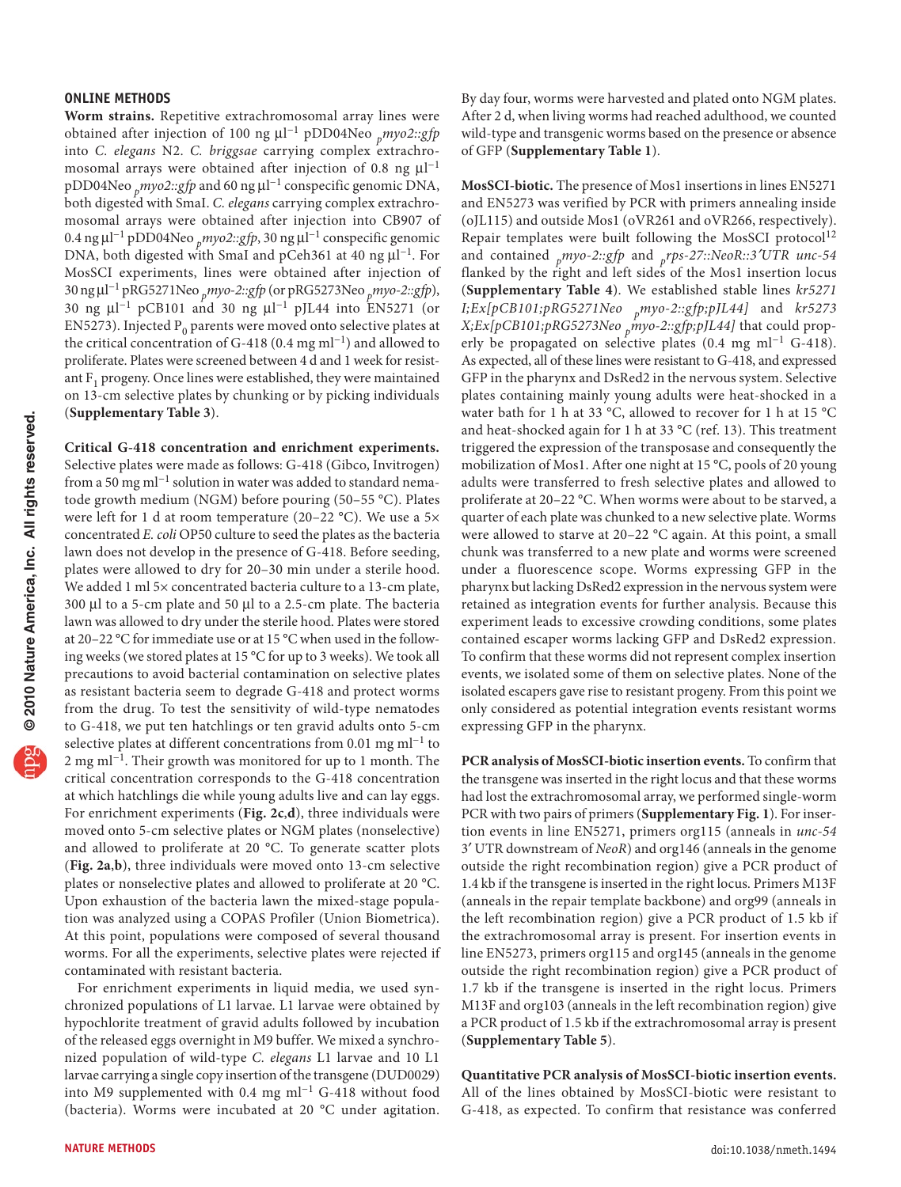## **ONLINE METHODS**

**Worm strains.** Repetitive extrachromosomal array lines were obtained after injection of 100 ng μl −1 pDD04Neo *pmyo2::gfp* into *C. elegans* N2. *C. briggsae* carrying complex extrachromosomal arrays were obtained after injection of 0.8 ng  $\mu$ l<sup>-1</sup> pDD04Neo <sub>*p</sub>myo2::gfp* and 60 ng μl<sup>−1</sup> conspecific genomic DNA,</sub> both digested with SmaI. *C. elegans* carrying complex extrachromosomal arrays were obtained after injection into CB907 of 0.4 ng μl −1 pDD04Neo *pmyo2::gfp*, 30 ng μl −1 conspecific genomic DNA, both digested with SmaI and pCeh361 at 40 ng  $\mu$ l<sup>-1</sup>. For MosSCI experiments, lines were obtained after injection of 30 ng μl −1 pRG5271Neo *pmyo-2::gfp* (or pRG5273Neo *pmyo-2::gfp*), 30 ng  $\mu$ l<sup>-1</sup> pCB101 and 30 ng  $\mu$ l<sup>-1</sup> pJL44 into EN5271 (or EN5273). Injected  $P_0$  parents were moved onto selective plates at the critical concentration of G-418 (0.4 mg ml−1) and allowed to proliferate. Plates were screened between 4 d and 1 week for resistant  $F_1$  progeny. Once lines were established, they were maintained on 13-cm selective plates by chunking or by picking individuals (**Supplementary Table 3**).

## **Critical G-418 concentration and enrichment experiments.**

Selective plates were made as follows: G-418 (Gibco, Invitrogen) from a 50 mg ml−1 solution in water was added to standard nematode growth medium (NGM) before pouring (50–55 °C). Plates were left for 1 d at room temperature (20–22 °C). We use a 5× concentrated *E. coli* OP50 culture to seed the plates as the bacteria lawn does not develop in the presence of G-418. Before seeding, plates were allowed to dry for 20–30 min under a sterile hood. We added 1 ml 5× concentrated bacteria culture to a 13-cm plate, 300 μl to a 5-cm plate and 50 μl to a 2.5-cm plate. The bacteria lawn was allowed to dry under the sterile hood. Plates were stored at 20–22 °C for immediate use or at 15 °C when used in the following weeks (we stored plates at 15 °C for up to 3 weeks). We took all precautions to avoid bacterial contamination on selective plates as resistant bacteria seem to degrade G-418 and protect worms from the drug. To test the sensitivity of wild-type nematodes to G-418, we put ten hatchlings or ten gravid adults onto 5-cm selective plates at different concentrations from 0.01 mg ml<sup>-1</sup> to 2 mg ml<sup>-1</sup>. Their growth was monitored for up to 1 month. The critical concentration corresponds to the G-418 concentration at which hatchlings die while young adults live and can lay eggs. For enrichment experiments (**[Fig. 2c](#page-1-0)**,**d**), three individuals were moved onto 5-cm selective plates or NGM plates (nonselective) and allowed to proliferate at 20 °C. To generate scatter plots (**[Fig.](#page-1-0) 2a**,**b**), three individuals were moved onto 13-cm selective plates or nonselective plates and allowed to proliferate at 20 °C. Upon exhaustion of the bacteria lawn the mixed-stage population was analyzed using a COPAS Profiler (Union Biometrica). At this point, populations were composed of several thousand worms. For all the experiments, selective plates were rejected if contaminated with resistant bacteria.

For enrichment experiments in liquid media, we used synchronized populations of L1 larvae. L1 larvae were obtained by hypochlorite treatment of gravid adults followed by incubation of the released eggs overnight in M9 buffer. We mixed a synchronized population of wild-type *C. elegans* L1 larvae and 10 L1 larvae carrying a single copy insertion of the transgene (DUD0029) into M9 supplemented with 0.4 mg ml−1 G-418 without food (bacteria). Worms were incubated at 20 °C under agitation. By day four, worms were harvested and plated onto NGM plates. After 2 d, when living worms had reached adulthood, we counted wild-type and transgenic worms based on the presence or absence of GFP (**Supplementary Table 1**).

**MosSCI-biotic.** The presence of Mos1 insertions in lines EN5271 and EN5273 was verified by PCR with primers annealing inside (oJL115) and outside Mos1 (oVR261 and oVR266, respectively). Repair templates were built following the MosSCI protocol<sup>[1](#page-2-4)2</sup> and contained *pmyo-2::gfp* and *prps-27::NeoR::3*′*UTR unc-54* flanked by the right and left sides of the Mos1 insertion locus (**Supplementary Table 4**). We established stable lines *kr5271 I;Ex[pCB101;pRG5271Neo pmyo-2::gfp;pJL44]* and *kr5273 X;Ex[pCB101;pRG5273Neo pmyo-2::gfp;pJL44]* that could properly be propagated on selective plates (0.4 mg ml<sup>-1</sup> G-418). As expected, all of these lines were resistant to G-418, and expressed GFP in the pharynx and DsRed2 in the nervous system. Selective plates containing mainly young adults were heat-shocked in a water bath for 1 h at 33 °C, allowed to recover for 1 h at 15 °C and heat-shocked again for 1 h at 33 °C (ref. 13). This treatment triggered the expression of the transposase and consequently the mobilization of Mos1. After one night at 15 °C, pools of 20 young adults were transferred to fresh selective plates and allowed to proliferate at 20–22 °C. When worms were about to be starved, a quarter of each plate was chunked to a new selective plate. Worms were allowed to starve at 20–22 °C again. At this point, a small chunk was transferred to a new plate and worms were screened under a fluorescence scope. Worms expressing GFP in the pharynx but lacking DsRed2 expression in the nervous system were retained as integration events for further analysis. Because this experiment leads to excessive crowding conditions, some plates contained escaper worms lacking GFP and DsRed2 expression. To confirm that these worms did not represent complex insertion events, we isolated some of them on selective plates. None of the isolated escapers gave rise to resistant progeny. From this point we only considered as potential integration events resistant worms expressing GFP in the pharynx.

**PCR analysis of MosSCI-biotic insertion events.** To confirm that the transgene was inserted in the right locus and that these worms had lost the extrachromosomal array, we performed single-worm PCR with two pairs of primers (**Supplementary Fig. 1**). For insertion events in line EN5271, primers org115 (anneals in *unc-54* 3′ UTR downstream of *NeoR*) and org146 (anneals in the genome outside the right recombination region) give a PCR product of 1.4 kb if the transgene is inserted in the right locus. Primers M13F (anneals in the repair template backbone) and org99 (anneals in the left recombination region) give a PCR product of 1.5 kb if the extrachromosomal array is present. For insertion events in line EN5273, primers org115 and org145 (anneals in the genome outside the right recombination region) give a PCR product of 1.7 kb if the transgene is inserted in the right locus. Primers M13F and org103 (anneals in the left recombination region) give a PCR product of 1.5 kb if the extrachromosomal array is present (**Supplementary Table 5**).

**Quantitative PCR analysis of MosSCI-biotic insertion events.** All of the lines obtained by MosSCI-biotic were resistant to G-418, as expected. To confirm that resistance was conferred